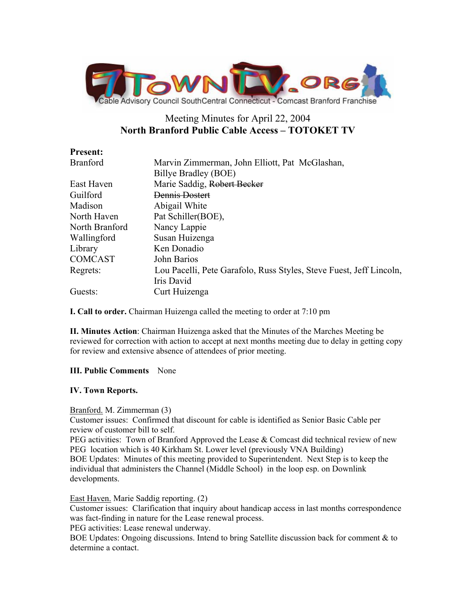

# Meeting Minutes for April 22, 2004 **North Branford Public Cable Access – TOTOKET TV**

| <b>Present:</b> |                                                                     |
|-----------------|---------------------------------------------------------------------|
| <b>Branford</b> | Marvin Zimmerman, John Elliott, Pat McGlashan,                      |
|                 | Billye Bradley (BOE)                                                |
| East Haven      | Marie Saddig, Robert Becker                                         |
| Guilford        | Dennis Dostert                                                      |
| Madison         | Abigail White                                                       |
| North Haven     | Pat Schiller(BOE),                                                  |
| North Branford  | Nancy Lappie                                                        |
| Wallingford     | Susan Huizenga                                                      |
| Library         | Ken Donadio                                                         |
| <b>COMCAST</b>  | John Barios                                                         |
| Regrets:        | Lou Pacelli, Pete Garafolo, Russ Styles, Steve Fuest, Jeff Lincoln, |
|                 | Iris David                                                          |
| Guests:         | Curt Huizenga                                                       |

**I. Call to order.** Chairman Huizenga called the meeting to order at 7:10 pm

**II. Minutes Action**: Chairman Huizenga asked that the Minutes of the Marches Meeting be reviewed for correction with action to accept at next months meeting due to delay in getting copy for review and extensive absence of attendees of prior meeting.

# **III. Public Comments** None

## **IV. Town Reports.**

## Branford. M. Zimmerman (3)

Customer issues: Confirmed that discount for cable is identified as Senior Basic Cable per review of customer bill to self.

PEG activities: Town of Branford Approved the Lease  $&$  Comcast did technical review of new PEG location which is 40 Kirkham St. Lower level (previously VNA Building) BOE Updates: Minutes of this meeting provided to Superintendent. Next Step is to keep the individual that administers the Channel (Middle School) in the loop esp. on Downlink developments.

East Haven. Marie Saddig reporting. (2)

Customer issues: Clarification that inquiry about handicap access in last months correspondence was fact-finding in nature for the Lease renewal process.

PEG activities: Lease renewal underway.

BOE Updates: Ongoing discussions. Intend to bring Satellite discussion back for comment & to determine a contact.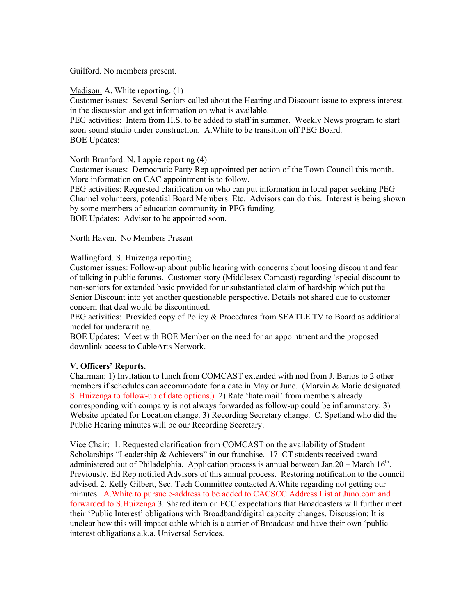Guilford. No members present.

Madison. A. White reporting. (1)

Customer issues: Several Seniors called about the Hearing and Discount issue to express interest in the discussion and get information on what is available.

PEG activities: Intern from H.S. to be added to staff in summer. Weekly News program to start soon sound studio under construction. A.White to be transition off PEG Board. BOE Updates:

North Branford. N. Lappie reporting (4)

Customer issues: Democratic Party Rep appointed per action of the Town Council this month. More information on CAC appointment is to follow.

PEG activities: Requested clarification on who can put information in local paper seeking PEG Channel volunteers, potential Board Members. Etc. Advisors can do this. Interest is being shown by some members of education community in PEG funding.

BOE Updates: Advisor to be appointed soon.

## North Haven. No Members Present

Wallingford. S. Huizenga reporting.

Customer issues: Follow-up about public hearing with concerns about loosing discount and fear of talking in public forums. Customer story (Middlesex Comcast) regarding 'special discount to non-seniors for extended basic provided for unsubstantiated claim of hardship which put the Senior Discount into yet another questionable perspective. Details not shared due to customer concern that deal would be discontinued.

PEG activities: Provided copy of Policy & Procedures from SEATLE TV to Board as additional model for underwriting.

BOE Updates: Meet with BOE Member on the need for an appointment and the proposed downlink access to CableArts Network.

## **V. Officers' Reports.**

Chairman: 1) Invitation to lunch from COMCAST extended with nod from J. Barios to 2 other members if schedules can accommodate for a date in May or June. (Marvin & Marie designated. S. Huizenga to follow-up of date options.) 2) Rate 'hate mail' from members already corresponding with company is not always forwarded as follow-up could be inflammatory. 3) Website updated for Location change. 3) Recording Secretary change. C. Spetland who did the Public Hearing minutes will be our Recording Secretary.

Vice Chair: 1. Requested clarification from COMCAST on the availability of Student Scholarships "Leadership & Achievers" in our franchise. 17 CT students received award administered out of Philadelphia. Application process is annual between Jan.20 – March  $16<sup>th</sup>$ . Previously, Ed Rep notified Advisors of this annual process. Restoring notification to the council advised. 2. Kelly Gilbert, Sec. Tech Committee contacted A.White regarding not getting our minutes. A.White to pursue e-address to be added to CACSCC Address List at Juno.com and forwarded to S.Huizenga 3. Shared item on FCC expectations that Broadcasters will further meet their 'Public Interest' obligations with Broadband/digital capacity changes. Discussion: It is unclear how this will impact cable which is a carrier of Broadcast and have their own 'public interest obligations a.k.a. Universal Services.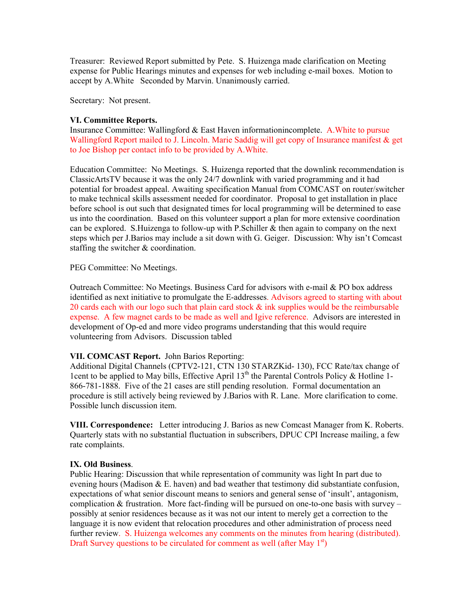Treasurer: Reviewed Report submitted by Pete. S. Huizenga made clarification on Meeting expense for Public Hearings minutes and expenses for web including e-mail boxes. Motion to accept by A.White Seconded by Marvin. Unanimously carried.

Secretary: Not present.

#### **VI. Committee Reports.**

Insurance Committee: Wallingford & East Haven informationincomplete. A.White to pursue Wallingford Report mailed to J. Lincoln. Marie Saddig will get copy of Insurance manifest & get to Joe Bishop per contact info to be provided by A.White.

Education Committee: No Meetings. S. Huizenga reported that the downlink recommendation is ClassicArtsTV because it was the only 24/7 downlink with varied programming and it had potential for broadest appeal. Awaiting specification Manual from COMCAST on router/switcher to make technical skills assessment needed for coordinator. Proposal to get installation in place before school is out such that designated times for local programming will be determined to ease us into the coordination. Based on this volunteer support a plan for more extensive coordination can be explored. S.Huizenga to follow-up with P.Schiller  $\&$  then again to company on the next steps which per J.Barios may include a sit down with G. Geiger. Discussion: Why isn't Comcast staffing the switcher & coordination.

PEG Committee: No Meetings.

Outreach Committee: No Meetings. Business Card for advisors with e-mail & PO box address identified as next initiative to promulgate the E-addresses. Advisors agreed to starting with about 20 cards each with our logo such that plain card stock  $\&$  ink supplies would be the reimbursable expense. A few magnet cards to be made as well and Igive reference. Advisors are interested in development of Op-ed and more video programs understanding that this would require volunteering from Advisors. Discussion tabled

## **VII. COMCAST Report.** John Barios Reporting:

Additional Digital Channels (CPTV2-121, CTN 130 STARZKid- 130), FCC Rate/tax change of 1cent to be applied to May bills, Effective April  $13<sup>th</sup>$  the Parental Controls Policy & Hotline 1-866-781-1888. Five of the 21 cases are still pending resolution. Formal documentation an procedure is still actively being reviewed by J.Barios with R. Lane. More clarification to come. Possible lunch discussion item.

**VIII. Correspondence:** Letter introducing J. Barios as new Comcast Manager from K. Roberts. Quarterly stats with no substantial fluctuation in subscribers, DPUC CPI Increase mailing, a few rate complaints.

#### **IX. Old Business**.

Public Hearing: Discussion that while representation of community was light In part due to evening hours (Madison  $&\,E$ . haven) and bad weather that testimony did substantiate confusion, expectations of what senior discount means to seniors and general sense of 'insult', antagonism, complication  $\&$  frustration. More fact-finding will be pursued on one-to-one basis with survey – possibly at senior residences because as it was not our intent to merely get a correction to the language it is now evident that relocation procedures and other administration of process need further review. S. Huizenga welcomes any comments on the minutes from hearing (distributed). Draft Survey questions to be circulated for comment as well (after May  $1<sup>st</sup>$ )